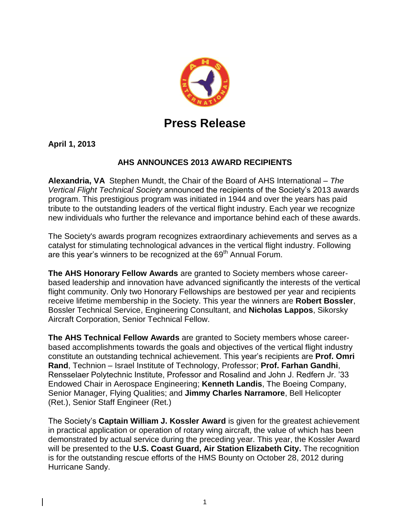

## **Press Release**

**April 1, 2013**

## **AHS ANNOUNCES 2013 AWARD RECIPIENTS**

**Alexandria, VA** Stephen Mundt, the Chair of the Board of AHS International – *The Vertical Flight Technical Society* announced the recipients of the Society's 2013 awards program. This prestigious program was initiated in 1944 and over the years has paid tribute to the outstanding leaders of the vertical flight industry. Each year we recognize new individuals who further the relevance and importance behind each of these awards.

The Society's awards program recognizes extraordinary achievements and serves as a catalyst for stimulating technological advances in the vertical flight industry. Following are this year's winners to be recognized at the 69<sup>th</sup> Annual Forum.

**The AHS Honorary Fellow Awards** are granted to Society members whose careerbased leadership and innovation have advanced significantly the interests of the vertical flight community. Only two Honorary Fellowships are bestowed per year and recipients receive lifetime membership in the Society. This year the winners are **Robert Bossler**, Bossler Technical Service, Engineering Consultant, and **Nicholas Lappos**, Sikorsky Aircraft Corporation, Senior Technical Fellow.

**The AHS Technical Fellow Awards** are granted to Society members whose careerbased accomplishments towards the goals and objectives of the vertical flight industry constitute an outstanding technical achievement. This year's recipients are **Prof. Omri Rand**, Technion – Israel Institute of Technology, Professor; **Prof. Farhan Gandhi**, Rensselaer Polytechnic Institute, Professor and Rosalind and John J. Redfern Jr. '33 Endowed Chair in Aerospace Engineering; **Kenneth Landis**, The Boeing Company, Senior Manager, Flying Qualities; and **Jimmy Charles Narramore**, Bell Helicopter (Ret.), Senior Staff Engineer (Ret.)

The Society's **Captain William J. Kossler Award** is given for the greatest achievement in practical application or operation of rotary wing aircraft, the value of which has been demonstrated by actual service during the preceding year. This year, the Kossler Award will be presented to the **U.S. Coast Guard, Air Station Elizabeth City.** The recognition is for the outstanding rescue efforts of the HMS Bounty on October 28, 2012 during Hurricane Sandy.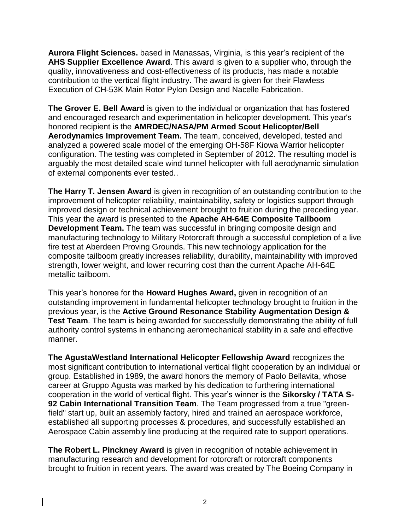**Aurora Flight Sciences.** based in Manassas, Virginia, is this year's recipient of the **AHS Supplier Excellence Award**. This award is given to a supplier who, through the quality, innovativeness and cost-effectiveness of its products, has made a notable contribution to the vertical flight industry. The award is given for their Flawless Execution of CH-53K Main Rotor Pylon Design and Nacelle Fabrication.

**The Grover E. Bell Award** is given to the individual or organization that has fostered and encouraged research and experimentation in helicopter development. This year's honored recipient is the **AMRDEC/NASA/PM Armed Scout Helicopter/Bell Aerodynamics Improvement Team.** The team, conceived, developed, tested and analyzed a powered scale model of the emerging OH-58F Kiowa Warrior helicopter configuration. The testing was completed in September of 2012. The resulting model is arguably the most detailed scale wind tunnel helicopter with full aerodynamic simulation of external components ever tested..

**The Harry T. Jensen Award** is given in recognition of an outstanding contribution to the improvement of helicopter reliability, maintainability, safety or logistics support through improved design or technical achievement brought to fruition during the preceding year. This year the award is presented to the **Apache AH-64E Composite Tailboom Development Team.** The team was successful in bringing composite design and manufacturing technology to Military Rotorcraft through a successful completion of a live fire test at Aberdeen Proving Grounds. This new technology application for the composite tailboom greatly increases reliability, durability, maintainability with improved strength, lower weight, and lower recurring cost than the current Apache AH-64E metallic tailboom.

This year's honoree for the **Howard Hughes Award,** given in recognition of an outstanding improvement in fundamental helicopter technology brought to fruition in the previous year, is the **Active Ground Resonance Stability Augmentation Design & Test Team**. The team is being awarded for successfully demonstrating the ability of full authority control systems in enhancing aeromechanical stability in a safe and effective manner.

**The AgustaWestland International Helicopter Fellowship Award** recognizes the most significant contribution to international vertical flight cooperation by an individual or group. Established in 1989, the award honors the memory of Paolo Bellavita, whose career at Gruppo Agusta was marked by his dedication to furthering international cooperation in the world of vertical flight. This year's winner is the **Sikorsky / TATA S-92 Cabin International Transition Team**. The Team progressed from a true "greenfield" start up, built an assembly factory, hired and trained an aerospace workforce, established all supporting processes & procedures, and successfully established an Aerospace Cabin assembly line producing at the required rate to support operations.

**The Robert L. Pinckney Award** is given in recognition of notable achievement in manufacturing research and development for rotorcraft or rotorcraft components brought to fruition in recent years. The award was created by The Boeing Company in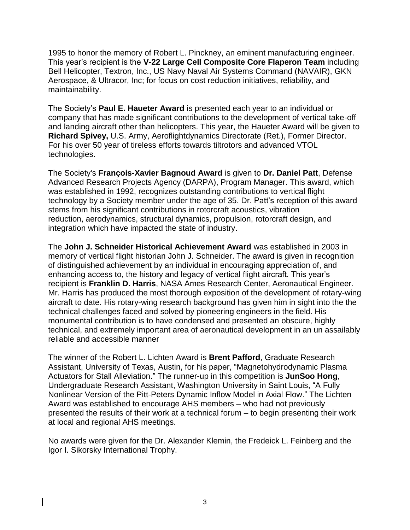1995 to honor the memory of Robert L. Pinckney, an eminent manufacturing engineer. This year's recipient is the **V-22 Large Cell Composite Core Flaperon Team** including Bell Helicopter, Textron, Inc., US Navy Naval Air Systems Command (NAVAIR), GKN Aerospace, & Ultracor, Inc; for focus on cost reduction initiatives, reliability, and maintainability.

The Society's **Paul E. Haueter Award** is presented each year to an individual or company that has made significant contributions to the development of vertical take-off and landing aircraft other than helicopters. This year, the Haueter Award will be given to **Richard Spivey,** U.S. Army, Aeroflightdynamics Directorate (Ret.), Former Director. For his over 50 year of tireless efforts towards tiltrotors and advanced VTOL technologies.

The Society's **François-Xavier Bagnoud Award** is given to **Dr. Daniel Patt**, Defense Advanced Research Projects Agency (DARPA), Program Manager. This award, which was established in 1992, recognizes outstanding contributions to vertical flight technology by a Society member under the age of 35. Dr. Patt's reception of this award stems from his significant contributions in rotorcraft acoustics, vibration reduction, aerodynamics, structural dynamics, propulsion, rotorcraft design, and integration which have impacted the state of industry.

The **John J. Schneider Historical Achievement Award** was established in 2003 in memory of vertical flight historian John J. Schneider. The award is given in recognition of distinguished achievement by an individual in encouraging appreciation of, and enhancing access to, the history and legacy of vertical flight aircraft. This year's recipient is **Franklin D. Harris**, NASA Ames Research Center, Aeronautical Engineer. Mr. Harris has produced the most thorough exposition of the development of rotary-wing aircraft to date. His rotary-wing research background has given him in sight into the the technical challenges faced and solved by pioneering engineers in the field. His monumental contribution is to have condensed and presented an obscure, highly technical, and extremely important area of aeronautical development in an un assailably reliable and accessible manner

The winner of the Robert L. Lichten Award is **Brent Pafford**, Graduate Research Assistant, University of Texas, Austin, for his paper, "Magnetohydrodynamic Plasma Actuators for Stall Alleviation." The runner-up in this competition is **JunSoo Hong**, Undergraduate Research Assistant, Washington University in Saint Louis, "A Fully Nonlinear Version of the Pitt-Peters Dynamic Inflow Model in Axial Flow." The Lichten Award was established to encourage AHS members – who had not previously presented the results of their work at a technical forum – to begin presenting their work at local and regional AHS meetings.

No awards were given for the Dr. Alexander Klemin, the Fredeick L. Feinberg and the Igor I. Sikorsky International Trophy.